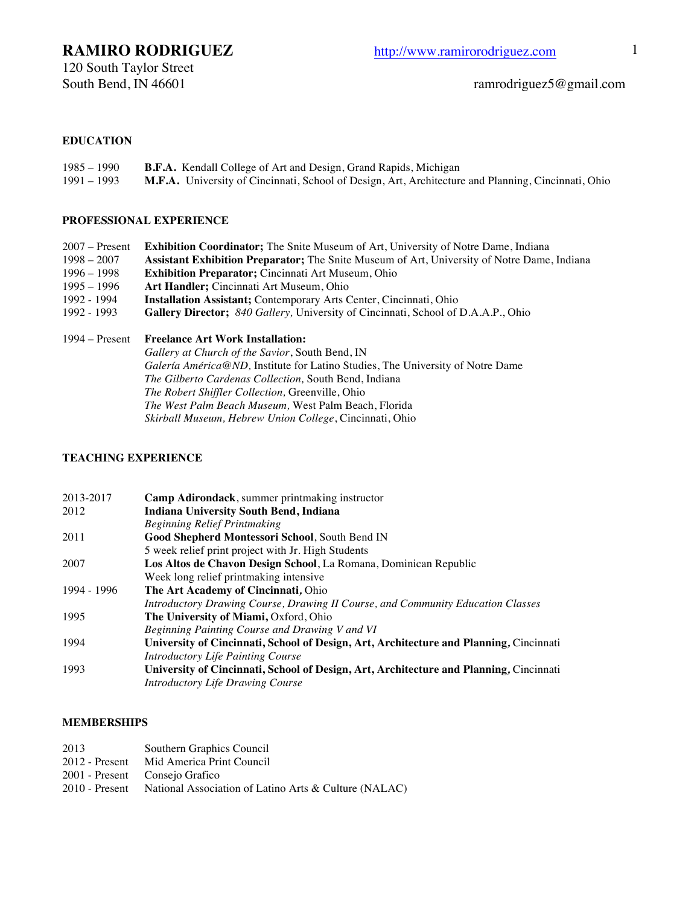### **EDUCATION**

| $1985 - 1990$ | <b>B.F.A.</b> Kendall College of Art and Design, Grand Rapids, Michigan                             |
|---------------|-----------------------------------------------------------------------------------------------------|
| 1991 – 1993   | M.F.A. University of Cincinnati, School of Design, Art, Architecture and Planning, Cincinnati, Ohio |

### **PROFESSIONAL EXPERIENCE**

| $2007 -$ Present               | <b>Exhibition Coordinator;</b> The Snite Museum of Art, University of Notre Dame, Indiana          |
|--------------------------------|----------------------------------------------------------------------------------------------------|
| $1998 - 2007$                  | <b>Assistant Exhibition Preparator;</b> The Snite Museum of Art, University of Notre Dame, Indiana |
| $1996 - 1998$<br>$1995 - 1996$ | <b>Exhibition Preparator;</b> Cincinnati Art Museum, Ohio                                          |
| 1992 - 1994                    | Art Handler; Cincinnati Art Museum, Ohio                                                           |
| 1992 - 1993                    | <b>Installation Assistant;</b> Contemporary Arts Center, Cincinnati, Ohio                          |
|                                | <b>Gallery Director;</b> 840 Gallery, University of Cincinnati, School of D.A.A.P., Ohio           |
|                                | 1994 – Present Freelance Art Work Installation:                                                    |

*Gallery at Church of the Savior*, South Bend, IN *Galería América@ND,* Institute for Latino Studies, The University of Notre Dame *The Gilberto Cardenas Collection,* South Bend, Indiana *The Robert Shiffler Collection,* Greenville, Ohio *The West Palm Beach Museum,* West Palm Beach, Florida *Skirball Museum, Hebrew Union College*, Cincinnati, Ohio

### **TEACHING EXPERIENCE**

| 2013-2017   | Camp Adirondack, summer printmaking instructor                                         |
|-------------|----------------------------------------------------------------------------------------|
| 2012        | <b>Indiana University South Bend, Indiana</b>                                          |
|             | <b>Beginning Relief Printmaking</b>                                                    |
| 2011        | <b>Good Shepherd Montessori School, South Bend IN</b>                                  |
|             | 5 week relief print project with Jr. High Students                                     |
| 2007        | Los Altos de Chavon Design School, La Romana, Dominican Republic                       |
|             | Week long relief printmaking intensive                                                 |
| 1994 - 1996 | The Art Academy of Cincinnati, Ohio                                                    |
|             | Introductory Drawing Course, Drawing II Course, and Community Education Classes        |
| 1995        | The University of Miami, Oxford, Ohio                                                  |
|             | Beginning Painting Course and Drawing V and VI                                         |
| 1994        | University of Cincinnati, School of Design, Art, Architecture and Planning, Cincinnati |
|             | Introductory Life Painting Course                                                      |
| 1993        | University of Cincinnati, School of Design, Art, Architecture and Planning, Cincinnati |
|             | <b>Introductory Life Drawing Course</b>                                                |

#### **MEMBERSHIPS**

- 2013 Southern Graphics Council<br>2012 Present Mid America Print Council
- Mid America Print Council
- 2001 Present Consejo Grafico
- 2010 Present National Association of Latino Arts & Culture (NALAC)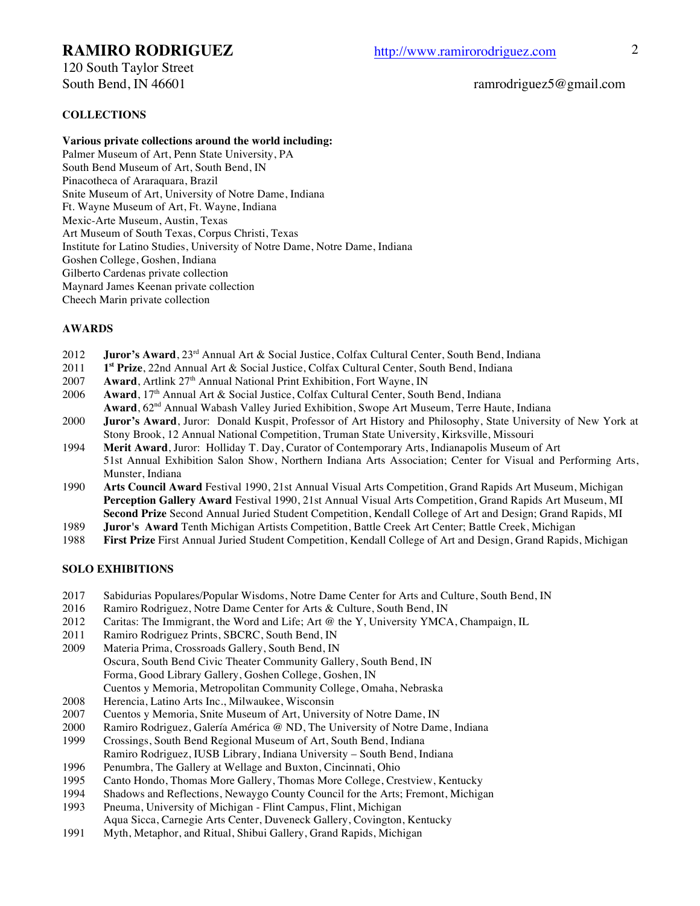120 South Taylor Street

### South Bend, IN 46601 ramrodriguez5@gmail.com

### **COLLECTIONS**

**Various private collections around the world including:**

Palmer Museum of Art, Penn State University, PA South Bend Museum of Art, South Bend, IN Pinacotheca of Araraquara, Brazil Snite Museum of Art, University of Notre Dame, Indiana Ft. Wayne Museum of Art, Ft. Wayne, Indiana Mexic-Arte Museum, Austin, Texas Art Museum of South Texas, Corpus Christi, Texas Institute for Latino Studies, University of Notre Dame, Notre Dame, Indiana Goshen College, Goshen, Indiana Gilberto Cardenas private collection Maynard James Keenan private collection Cheech Marin private collection

### **AWARDS**

- 2012 **Juror's Award**, 23<sup>rd</sup> Annual Art & Social Justice, Colfax Cultural Center, South Bend, Indiana
- 2011 **1st Prize**, 22nd Annual Art & Social Justice, Colfax Cultural Center, South Bend, Indiana
- 2007 **Award**, Artlink 27<sup>th</sup> Annual National Print Exhibition, Fort Wayne, IN
- 2006 **Award**, 17<sup>th</sup> Annual Art & Social Justice, Colfax Cultural Center, South Bend, Indiana
- **Award**, 62nd Annual Wabash Valley Juried Exhibition, Swope Art Museum, Terre Haute, Indiana
- 2000 **Juror's Award**, Juror: Donald Kuspit, Professor of Art History and Philosophy, State University of New York at Stony Brook, 12 Annual National Competition, Truman State University, Kirksville, Missouri
- 1994 **Merit Award**, Juror: Holliday T. Day, Curator of Contemporary Arts, Indianapolis Museum of Art 51st Annual Exhibition Salon Show, Northern Indiana Arts Association; Center for Visual and Performing Arts, Munster, Indiana
- 1990 **Arts Council Award** Festival 1990, 21st Annual Visual Arts Competition, Grand Rapids Art Museum, Michigan **Perception Gallery Award** Festival 1990, 21st Annual Visual Arts Competition, Grand Rapids Art Museum, MI **Second Prize** Second Annual Juried Student Competition, Kendall College of Art and Design; Grand Rapids, MI
- 1989 **Juror's Award** Tenth Michigan Artists Competition, Battle Creek Art Center; Battle Creek, Michigan
- 1988 **First Prize** First Annual Juried Student Competition, Kendall College of Art and Design, Grand Rapids, Michigan

### **SOLO EXHIBITIONS**

- 2017 Sabidurias Populares/Popular Wisdoms, Notre Dame Center for Arts and Culture, South Bend, IN
- 2016 Ramiro Rodriguez, Notre Dame Center for Arts & Culture, South Bend, IN
- 2012 Caritas: The Immigrant, the Word and Life; Art @ the Y, University YMCA, Champaign, IL<br>2011 Ramiro Rodriguez Prints, SBCRC, South Bend, IN
- Ramiro Rodriguez Prints, SBCRC, South Bend, IN
- 2009 Materia Prima, Crossroads Gallery, South Bend, IN Oscura, South Bend Civic Theater Community Gallery, South Bend, IN Forma, Good Library Gallery, Goshen College, Goshen, IN Cuentos y Memoria, Metropolitan Community College, Omaha, Nebraska
- 2008 Herencia, Latino Arts Inc., Milwaukee, Wisconsin
- 2007 Cuentos y Memoria, Snite Museum of Art, University of Notre Dame, IN
- 2000 Ramiro Rodriguez, Galería América @ ND, The University of Notre Dame, Indiana
- 1999 Crossings, South Bend Regional Museum of Art, South Bend, Indiana Ramiro Rodriguez, IUSB Library, Indiana University – South Bend, Indiana
- 1996 Penumbra, The Gallery at Wellage and Buxton, Cincinnati, Ohio
- 1995 Canto Hondo, Thomas More Gallery, Thomas More College, Crestview, Kentucky
- 1994 Shadows and Reflections, Newaygo County Council for the Arts; Fremont, Michigan
- 1993 Pneuma, University of Michigan Flint Campus, Flint, Michigan
- Aqua Sicca, Carnegie Arts Center, Duveneck Gallery, Covington, Kentucky
- 1991 Myth, Metaphor, and Ritual, Shibui Gallery, Grand Rapids, Michigan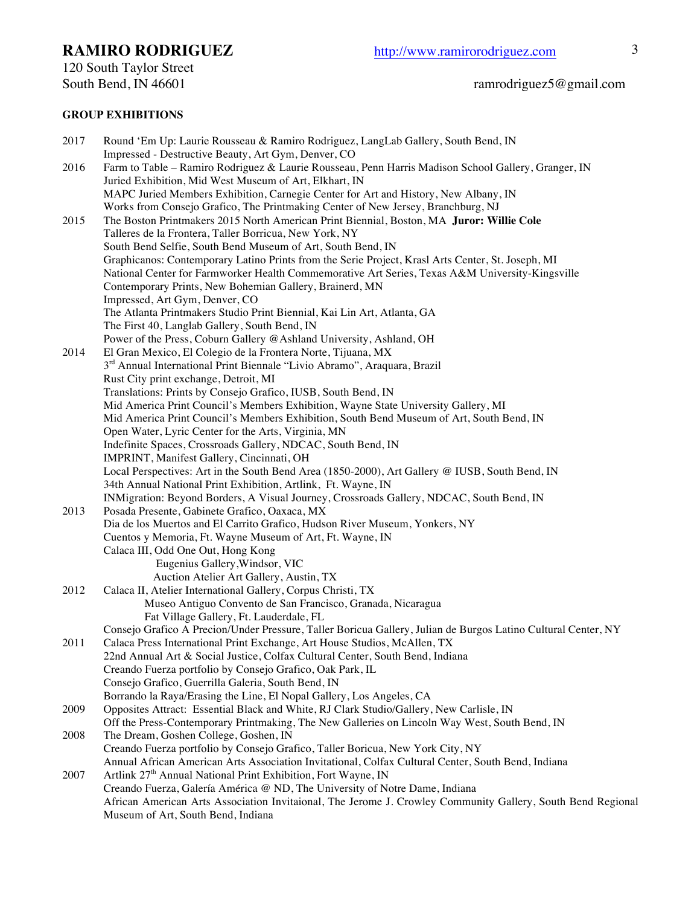120 South Taylor Street<br>South Bend, IN 46601

# ramrodriguez5@gmail.com

## **GROUP EXHIBITIONS**

| 2017 | Round 'Em Up: Laurie Rousseau & Ramiro Rodriguez, LangLab Gallery, South Bend, IN<br>Impressed - Destructive Beauty, Art Gym, Denver, CO |
|------|------------------------------------------------------------------------------------------------------------------------------------------|
|      |                                                                                                                                          |
| 2016 | Farm to Table - Ramiro Rodriguez & Laurie Rousseau, Penn Harris Madison School Gallery, Granger, IN                                      |
|      | Juried Exhibition, Mid West Museum of Art, Elkhart, IN                                                                                   |
|      | MAPC Juried Members Exhibition, Carnegie Center for Art and History, New Albany, IN                                                      |
|      | Works from Consejo Grafico, The Printmaking Center of New Jersey, Branchburg, NJ                                                         |
| 2015 | The Boston Printmakers 2015 North American Print Biennial, Boston, MA Juror: Willie Cole                                                 |
|      | Talleres de la Frontera, Taller Borricua, New York, NY                                                                                   |
|      | South Bend Selfie, South Bend Museum of Art, South Bend, IN                                                                              |
|      | Graphicanos: Contemporary Latino Prints from the Serie Project, Krasl Arts Center, St. Joseph, MI                                        |
|      | National Center for Farmworker Health Commemorative Art Series, Texas A&M University-Kingsville                                          |
|      | Contemporary Prints, New Bohemian Gallery, Brainerd, MN                                                                                  |
|      | Impressed, Art Gym, Denver, CO                                                                                                           |
|      | The Atlanta Printmakers Studio Print Biennial, Kai Lin Art, Atlanta, GA                                                                  |
|      | The First 40, Langlab Gallery, South Bend, IN                                                                                            |
|      | Power of the Press, Coburn Gallery @Ashland University, Ashland, OH                                                                      |
| 2014 | El Gran Mexico, El Colegio de la Frontera Norte, Tijuana, MX                                                                             |
|      | 3rd Annual International Print Biennale "Livio Abramo", Araquara, Brazil                                                                 |
|      | Rust City print exchange, Detroit, MI                                                                                                    |
|      | Translations: Prints by Consejo Grafico, IUSB, South Bend, IN                                                                            |
|      | Mid America Print Council's Members Exhibition, Wayne State University Gallery, MI                                                       |
|      | Mid America Print Council's Members Exhibition, South Bend Museum of Art, South Bend, IN                                                 |
|      | Open Water, Lyric Center for the Arts, Virginia, MN                                                                                      |
|      | Indefinite Spaces, Crossroads Gallery, NDCAC, South Bend, IN                                                                             |
|      | IMPRINT, Manifest Gallery, Cincinnati, OH                                                                                                |
|      | Local Perspectives: Art in the South Bend Area (1850-2000), Art Gallery @ IUSB, South Bend, IN                                           |
|      | 34th Annual National Print Exhibition, Artlink, Ft. Wayne, IN                                                                            |
|      | INMigration: Beyond Borders, A Visual Journey, Crossroads Gallery, NDCAC, South Bend, IN                                                 |
| 2013 | Posada Presente, Gabinete Grafico, Oaxaca, MX                                                                                            |
|      | Dia de los Muertos and El Carrito Grafico, Hudson River Museum, Yonkers, NY                                                              |
|      | Cuentos y Memoria, Ft. Wayne Museum of Art, Ft. Wayne, IN                                                                                |
|      | Calaca III, Odd One Out, Hong Kong                                                                                                       |
|      | Eugenius Gallery, Windsor, VIC                                                                                                           |
|      | Auction Atelier Art Gallery, Austin, TX                                                                                                  |
| 2012 | Calaca II, Atelier International Gallery, Corpus Christi, TX                                                                             |
|      | Museo Antiguo Convento de San Francisco, Granada, Nicaragua                                                                              |
|      | Fat Village Gallery, Ft. Lauderdale, FL                                                                                                  |
|      | Consejo Grafico A Precion/Under Pressure, Taller Boricua Gallery, Julian de Burgos Latino Cultural Center, NY                            |
| 2011 | Calaca Press International Print Exchange, Art House Studios, McAllen, TX                                                                |
|      | 22nd Annual Art & Social Justice, Colfax Cultural Center, South Bend, Indiana                                                            |
|      | Creando Fuerza portfolio by Consejo Grafico, Oak Park, IL                                                                                |
|      | Consejo Grafico, Guerrilla Galeria, South Bend, IN                                                                                       |
|      | Borrando la Raya/Erasing the Line, El Nopal Gallery, Los Angeles, CA                                                                     |
| 2009 | Opposites Attract: Essential Black and White, RJ Clark Studio/Gallery, New Carlisle, IN                                                  |
|      | Off the Press-Contemporary Printmaking, The New Galleries on Lincoln Way West, South Bend, IN                                            |
| 2008 | The Dream, Goshen College, Goshen, IN                                                                                                    |
|      | Creando Fuerza portfolio by Consejo Grafico, Taller Boricua, New York City, NY                                                           |
|      | Annual African American Arts Association Invitational, Colfax Cultural Center, South Bend, Indiana                                       |
| 2007 | Artlink 27 <sup>th</sup> Annual National Print Exhibition, Fort Wayne, IN                                                                |
|      | Creando Fuerza, Galería América @ ND, The University of Notre Dame, Indiana                                                              |
|      | African American Arts Association Invitaional, The Jerome J. Crowley Community Gallery, South Bend Regional                              |
|      | Museum of Art, South Bend, Indiana                                                                                                       |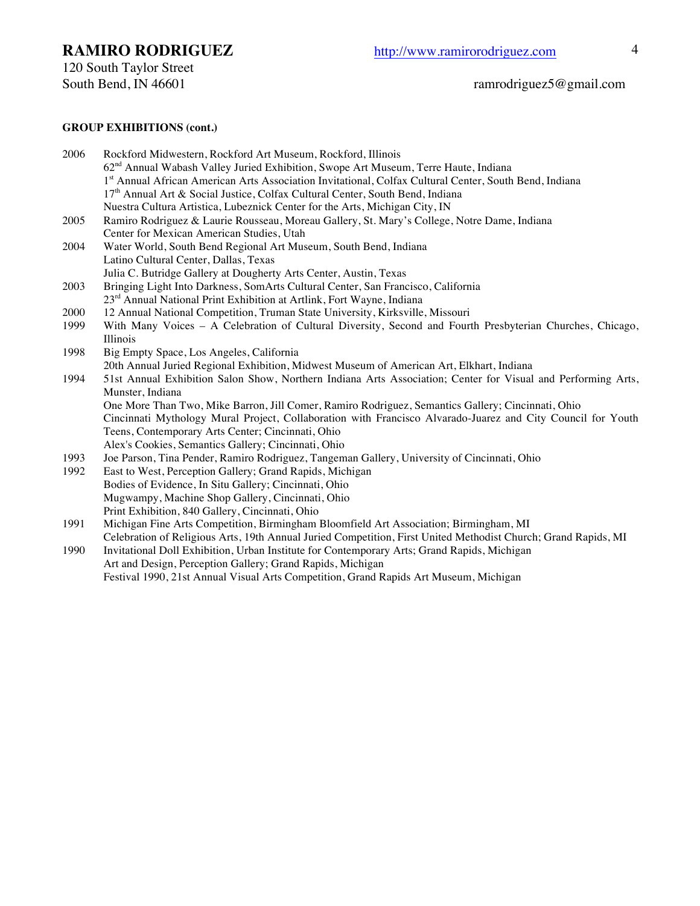120 South Taylor Street<br>South Bend, IN 46601

### **GROUP EXHIBITIONS (cont.)**

| 2006 | Rockford Midwestern, Rockford Art Museum, Rockford, Illinois                                                   |
|------|----------------------------------------------------------------------------------------------------------------|
|      | 62 <sup>nd</sup> Annual Wabash Valley Juried Exhibition, Swope Art Museum, Terre Haute, Indiana                |
|      | 1st Annual African American Arts Association Invitational, Colfax Cultural Center, South Bend, Indiana         |
|      | 17 <sup>th</sup> Annual Art & Social Justice, Colfax Cultural Center, South Bend, Indiana                      |
|      | Nuestra Cultura Artistica, Lubeznick Center for the Arts, Michigan City, IN                                    |
| 2005 | Ramiro Rodriguez & Laurie Rousseau, Moreau Gallery, St. Mary's College, Notre Dame, Indiana                    |
|      | Center for Mexican American Studies, Utah                                                                      |
| 2004 | Water World, South Bend Regional Art Museum, South Bend, Indiana                                               |
|      | Latino Cultural Center, Dallas, Texas                                                                          |
|      | Julia C. Butridge Gallery at Dougherty Arts Center, Austin, Texas                                              |
| 2003 | Bringing Light Into Darkness, SomArts Cultural Center, San Francisco, California                               |
|      | 23 <sup>rd</sup> Annual National Print Exhibition at Artlink, Fort Wayne, Indiana                              |
| 2000 | 12 Annual National Competition, Truman State University, Kirksville, Missouri                                  |
| 1999 | With Many Voices - A Celebration of Cultural Diversity, Second and Fourth Presbyterian Churches, Chicago,      |
|      | Illinois                                                                                                       |
| 1998 | Big Empty Space, Los Angeles, California                                                                       |
|      | 20th Annual Juried Regional Exhibition, Midwest Museum of American Art, Elkhart, Indiana                       |
| 1994 | 51st Annual Exhibition Salon Show, Northern Indiana Arts Association; Center for Visual and Performing Arts,   |
|      | Munster, Indiana                                                                                               |
|      | One More Than Two, Mike Barron, Jill Comer, Ramiro Rodriguez, Semantics Gallery; Cincinnati, Ohio              |
|      | Cincinnati Mythology Mural Project, Collaboration with Francisco Alvarado-Juarez and City Council for Youth    |
|      | Teens, Contemporary Arts Center; Cincinnati, Ohio                                                              |
|      | Alex's Cookies, Semantics Gallery; Cincinnati, Ohio                                                            |
| 1993 | Joe Parson, Tina Pender, Ramiro Rodriguez, Tangeman Gallery, University of Cincinnati, Ohio                    |
| 1992 | East to West, Perception Gallery; Grand Rapids, Michigan                                                       |
|      | Bodies of Evidence, In Situ Gallery; Cincinnati, Ohio                                                          |
|      | Mugwampy, Machine Shop Gallery, Cincinnati, Ohio                                                               |
|      | Print Exhibition, 840 Gallery, Cincinnati, Ohio                                                                |
| 1991 | Michigan Fine Arts Competition, Birmingham Bloomfield Art Association; Birmingham, MI                          |
|      | Celebration of Religious Arts, 19th Annual Juried Competition, First United Methodist Church; Grand Rapids, MI |
| 1990 | Invitational Doll Exhibition, Urban Institute for Contemporary Arts; Grand Rapids, Michigan                    |

Art and Design, Perception Gallery; Grand Rapids, Michigan

Festival 1990, 21st Annual Visual Arts Competition, Grand Rapids Art Museum, Michigan